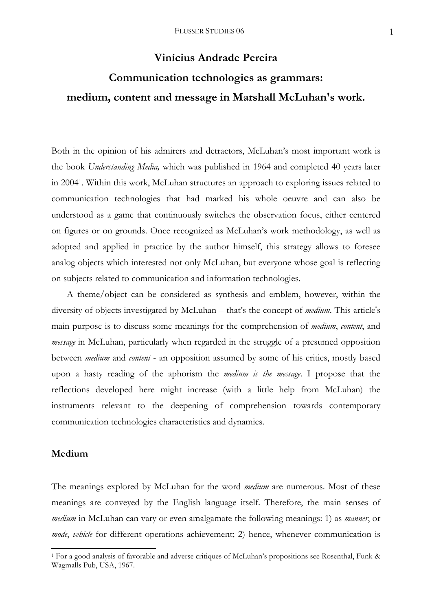# **Vinícius Andrade Pereira**

# **Communication technologies as grammars: medium, content and message in Marshall McLuhan's work.**

Both in the opinion of his admirers and detractors, McLuhan's most important work is the book *Understanding Media,* which was published in 1964 and completed 40 years later in 20041. Within this work, McLuhan structures an approach to exploring issues related to communication technologies that had marked his whole oeuvre and can also be understood as a game that continuously switches the observation focus, either centered on figures or on grounds. Once recognized as McLuhan's work methodology, as well as adopted and applied in practice by the author himself, this strategy allows to foresee analog objects which interested not only McLuhan, but everyone whose goal is reflecting on subjects related to communication and information technologies.

 A theme/object can be considered as synthesis and emblem, however, within the diversity of objects investigated by McLuhan – that's the concept of *medium*. This article's main purpose is to discuss some meanings for the comprehension of *medium*, *content*, and *message* in McLuhan, particularly when regarded in the struggle of a presumed opposition between *medium* and *content* - an opposition assumed by some of his critics, mostly based upon a hasty reading of the aphorism the *medium is the message*. I propose that the reflections developed here might increase (with a little help from McLuhan) the instruments relevant to the deepening of comprehension towards contemporary communication technologies characteristics and dynamics.

### **Medium**

1

The meanings explored by McLuhan for the word *medium* are numerous. Most of these meanings are conveyed by the English language itself. Therefore, the main senses of *medium* in McLuhan can vary or even amalgamate the following meanings: 1) as *manner*, or *mode*, *vehicle* for different operations achievement; 2) hence, whenever communication is

<sup>1</sup> For a good analysis of favorable and adverse critiques of McLuhan's propositions see Rosenthal, Funk & Wagmalls Pub, USA, 1967.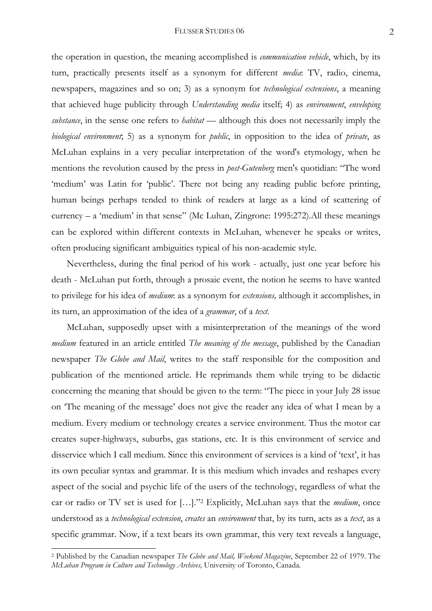the operation in question, the meaning accomplished is *communication vehicle*, which, by its turn, practically presents itself as a synonym for different *media*: TV, radio, cinema, newspapers, magazines and so on; 3) as a synonym for *technological extensions*, a meaning that achieved huge publicity through *Understanding media* itself; 4) as *environment*, *enveloping substance*, in the sense one refers to *habitat* — although this does not necessarily imply the *biological environment*; 5) as a synonym for *public*, in opposition to the idea of *private*, as McLuhan explains in a very peculiar interpretation of the word's etymology, when he mentions the revolution caused by the press in *post-Gutenberg* men's quotidian: "The word 'medium' was Latin for 'public'. There not being any reading public before printing, human beings perhaps tended to think of readers at large as a kind of scattering of currency – a 'medium' in that sense" (Mc Luhan, Zingrone: 1995:272).All these meanings can be explored within different contexts in McLuhan, whenever he speaks or writes, often producing significant ambiguities typical of his non-academic style.

 Nevertheless, during the final period of his work - actually, just one year before his death - McLuhan put forth, through a prosaic event, the notion he seems to have wanted to privilege for his idea of *medium*: as a synonym for *extensions,* although it accomplishes, in its turn, an approximation of the idea of a *grammar*, of a *text*.

 McLuhan, supposedly upset with a misinterpretation of the meanings of the word *medium* featured in an article entitled *The meaning of the message*, published by the Canadian newspaper *The Globe and Mail*, writes to the staff responsible for the composition and publication of the mentioned article. He reprimands them while trying to be didactic concerning the meaning that should be given to the term: "The piece in your July 28 issue on 'The meaning of the message' does not give the reader any idea of what I mean by a medium. Every medium or technology creates a service environment. Thus the motor car creates super-highways, suburbs, gas stations, etc. It is this environment of service and disservice which I call medium. Since this environment of services is a kind of 'text', it has its own peculiar syntax and grammar. It is this medium which invades and reshapes every aspect of the social and psychic life of the users of the technology, regardless of what the car or radio or TV set is used for […]."2 Explicitly, McLuhan says that the *medium*, once understood as a *technological extension*, *creates* an *environment* that, by its turn, acts as a *text*, as a specific grammar. Now, if a text bears its own grammar, this very text reveals a language,

1

<sup>2</sup> Published by the Canadian newspaper *The Globe and Mail, Weekend Magazine*, September 22 of 1979. The *McLuhan Program in Culture and Technology Archives,* University of Toronto, Canada.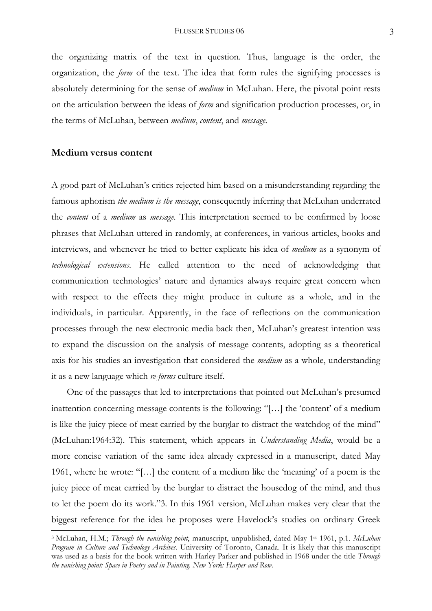the organizing matrix of the text in question. Thus, language is the order, the organization, the *form* of the text. The idea that form rules the signifying processes is absolutely determining for the sense of *medium* in McLuhan. Here, the pivotal point rests on the articulation between the ideas of *form* and signification production processes, or, in the terms of McLuhan, between *medium*, *content*, and *message*.

# **Medium versus content**

1

A good part of McLuhan's critics rejected him based on a misunderstanding regarding the famous aphorism *the medium is the message*, consequently inferring that McLuhan underrated the *content* of a *medium* as *message*. This interpretation seemed to be confirmed by loose phrases that McLuhan uttered in randomly, at conferences, in various articles, books and interviews, and whenever he tried to better explicate his idea of *medium* as a synonym of *technological extensions*. He called attention to the need of acknowledging that communication technologies' nature and dynamics always require great concern when with respect to the effects they might produce in culture as a whole, and in the individuals, in particular. Apparently, in the face of reflections on the communication processes through the new electronic media back then, McLuhan's greatest intention was to expand the discussion on the analysis of message contents, adopting as a theoretical axis for his studies an investigation that considered the *medium* as a whole, understanding it as a new language which *re-forms* culture itself.

 One of the passages that led to interpretations that pointed out McLuhan's presumed inattention concerning message contents is the following: "[…] the 'content' of a medium is like the juicy piece of meat carried by the burglar to distract the watchdog of the mind" (McLuhan:1964:32). This statement, which appears in *Understanding Media*, would be a more concise variation of the same idea already expressed in a manuscript, dated May 1961, where he wrote: "[…] the content of a medium like the 'meaning' of a poem is the juicy piece of meat carried by the burglar to distract the housedog of the mind, and thus to let the poem do its work."3. In this 1961 version, McLuhan makes very clear that the biggest reference for the idea he proposes were Havelock's studies on ordinary Greek

<sup>3</sup> McLuhan, H.M.; *Through the vanishing point*, manuscript, unpublished, dated May 1st 1961, p.1. *McLuhan Program in Culture and Technology Archives.* University of Toronto, Canada. It is likely that this manuscript was used as a basis for the book written with Harley Parker and published in 1968 under the title *Through the vanishing point: Space in Poetry and in Painting. New York: Harper and Row.*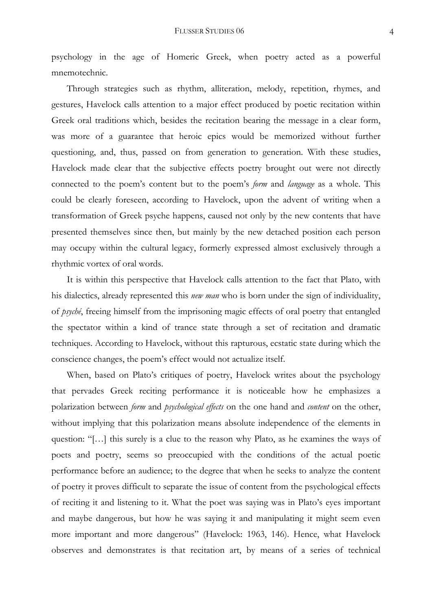psychology in the age of Homeric Greek, when poetry acted as a powerful mnemotechnic.

 Through strategies such as rhythm, alliteration, melody, repetition, rhymes, and gestures, Havelock calls attention to a major effect produced by poetic recitation within Greek oral traditions which, besides the recitation bearing the message in a clear form, was more of a guarantee that heroic epics would be memorized without further questioning, and, thus, passed on from generation to generation. With these studies, Havelock made clear that the subjective effects poetry brought out were not directly connected to the poem's content but to the poem's *form* and *language* as a whole. This could be clearly foreseen, according to Havelock, upon the advent of writing when a transformation of Greek psyche happens, caused not only by the new contents that have presented themselves since then, but mainly by the new detached position each person may occupy within the cultural legacy, formerly expressed almost exclusively through a rhythmic vortex of oral words.

 It is within this perspective that Havelock calls attention to the fact that Plato, with his dialectics, already represented this *new man* who is born under the sign of individuality, of *psyché*, freeing himself from the imprisoning magic effects of oral poetry that entangled the spectator within a kind of trance state through a set of recitation and dramatic techniques. According to Havelock, without this rapturous, ecstatic state during which the conscience changes, the poem's effect would not actualize itself.

When, based on Plato's critiques of poetry, Havelock writes about the psychology that pervades Greek reciting performance it is noticeable how he emphasizes a polarization between *form* and *psychological effects* on the one hand and *content* on the other, without implying that this polarization means absolute independence of the elements in question: "[…] this surely is a clue to the reason why Plato, as he examines the ways of poets and poetry, seems so preoccupied with the conditions of the actual poetic performance before an audience; to the degree that when he seeks to analyze the content of poetry it proves difficult to separate the issue of content from the psychological effects of reciting it and listening to it. What the poet was saying was in Plato's eyes important and maybe dangerous, but how he was saying it and manipulating it might seem even more important and more dangerous" (Havelock: 1963, 146). Hence, what Havelock observes and demonstrates is that recitation art, by means of a series of technical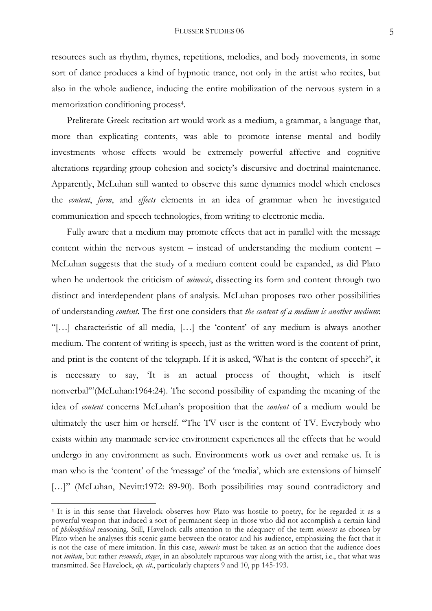resources such as rhythm, rhymes, repetitions, melodies, and body movements, in some sort of dance produces a kind of hypnotic trance, not only in the artist who recites, but also in the whole audience, inducing the entire mobilization of the nervous system in a memorization conditioning process4.

 Preliterate Greek recitation art would work as a medium, a grammar, a language that, more than explicating contents, was able to promote intense mental and bodily investments whose effects would be extremely powerful affective and cognitive alterations regarding group cohesion and society's discursive and doctrinal maintenance. Apparently, McLuhan still wanted to observe this same dynamics model which encloses the *content*, *form*, and *effects* elements in an idea of grammar when he investigated communication and speech technologies, from writing to electronic media.

Fully aware that a medium may promote effects that act in parallel with the message content within the nervous system – instead of understanding the medium content – McLuhan suggests that the study of a medium content could be expanded, as did Plato when he undertook the criticism of *mimesis*, dissecting its form and content through two distinct and interdependent plans of analysis. McLuhan proposes two other possibilities of understanding *content*. The first one considers that *the content of a medium is another medium*: "[…] characteristic of all media, […] the 'content' of any medium is always another medium. The content of writing is speech, just as the written word is the content of print, and print is the content of the telegraph. If it is asked, 'What is the content of speech?', it is necessary to say, 'It is an actual process of thought, which is itself nonverbal'"(McLuhan:1964:24). The second possibility of expanding the meaning of the idea of *content* concerns McLuhan's proposition that the *content* of a medium would be ultimately the user him or herself. "The TV user is the content of TV. Everybody who exists within any manmade service environment experiences all the effects that he would undergo in any environment as such. Environments work us over and remake us. It is man who is the 'content' of the 'message' of the 'media', which are extensions of himself [...]" (McLuhan, Nevitt:1972: 89-90). Both possibilities may sound contradictory and

-

<sup>4</sup> It is in this sense that Havelock observes how Plato was hostile to poetry, for he regarded it as a powerful weapon that induced a sort of permanent sleep in those who did not accomplish a certain kind of *philosophical* reasoning. Still, Havelock calls attention to the adequacy of the term *mimesis* as chosen by Plato when he analyses this scenic game between the orator and his audience, emphasizing the fact that it is not the case of mere imitation. In this case, *mimesis* must be taken as an action that the audience does not *imitate*, but rather *resounds*, *stages*, in an absolutely rapturous way along with the artist, i.e., that what was transmitted. See Havelock, *op. cit.*, particularly chapters 9 and 10, pp 145-193.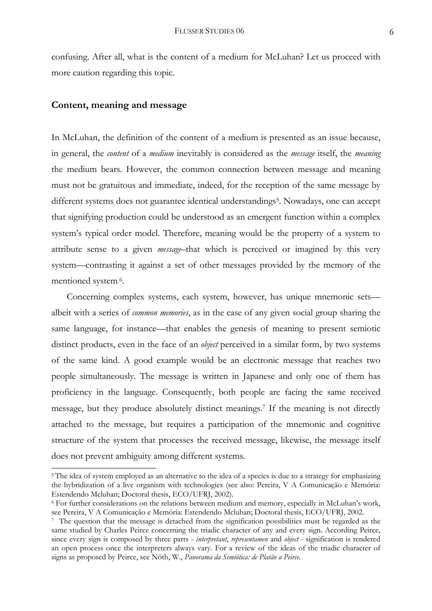confusing. After all, what is the content of a medium for McLuhan? Let us proceed with more caution regarding this topic.

### **Content, meaning and message**

-

In McLuhan, the definition of the content of a medium is presented as an issue because, in general, the *content* of a *medium* inevitably is considered as the *message* itself, the *meaning* the medium bears. However, the common connection between message and meaning must not be gratuitous and immediate, indeed, for the reception of the same message by different systems does not guarantee identical understandings<sup>5</sup>. Nowadays, one can accept that signifying production could be understood as an emergent function within a complex system's typical order model. Therefore, meaning would be the property of a system to attribute sense to a given *message*–that which is perceived or imagined by this very system—contrasting it against a set of other messages provided by the memory of the mentioned system 6.

 Concerning complex systems, each system, however, has unique mnemonic sets albeit with a series of *common memories*, as in the case of any given social group sharing the same language, for instance—that enables the genesis of meaning to present semiotic distinct products, even in the face of an *object* perceived in a similar form, by two systems of the same kind. A good example would be an electronic message that reaches two people simultaneously. The message is written in Japanese and only one of them has proficiency in the language. Consequently, both people are facing the same received message, but they produce absolutely distinct meanings.7 If the meaning is not directly attached to the message, but requires a participation of the mnemonic and cognitive structure of the system that processes the received message, likewise, the message itself does not prevent ambiguity among different systems.

<sup>5</sup> The idea of system employed as an alternative to the idea of a species is due to a strategy for emphasizing the hybridization of a live organism with technologies (see also: Pereira, V A Comunicação e Memória: Estendendo Mcluhan; Doctoral thesis, ECO/UFRJ, 2002).

<sup>6</sup> For further considerations on the relations between medium and memory, especially in McLuhan's work, see Pereira, V A Comunicação e Memória: Estendendo Mcluhan; Doctoral thesis, ECO/UFRJ, 2002.

<sup>7</sup> The question that the message is detached from the signification possibilities must be regarded as the same studied by Charles Peirce concerning the triadic character of any and every sign. According Peirce, since every sign is composed by three parts - *interpretant*, *representamen* and *object -* signification is rendered an open process once the interpreters always vary. For a review of the ideas of the triadic character of signs as proposed by Peirce, see Nöth, W., *Panorama da Semiótica: de Platão a Peirce.*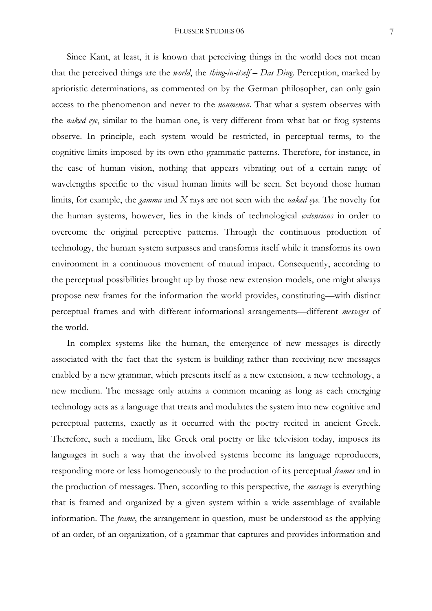Since Kant, at least, it is known that perceiving things in the world does not mean that the perceived things are the *world*, the *thing-in-itself – Das Ding*. Perception, marked by aprioristic determinations, as commented on by the German philosopher, can only gain access to the phenomenon and never to the *noumenon*. That what a system observes with the *naked eye*, similar to the human one, is very different from what bat or frog systems observe. In principle, each system would be restricted, in perceptual terms, to the cognitive limits imposed by its own etho-grammatic patterns. Therefore, for instance, in the case of human vision, nothing that appears vibrating out of a certain range of wavelengths specific to the visual human limits will be seen. Set beyond those human limits, for example, the *gamma* and *X* rays are not seen with the *naked eye*. The novelty for the human systems, however, lies in the kinds of technological *extensions* in order to overcome the original perceptive patterns. Through the continuous production of technology, the human system surpasses and transforms itself while it transforms its own environment in a continuous movement of mutual impact. Consequently, according to the perceptual possibilities brought up by those new extension models, one might always propose new frames for the information the world provides, constituting—with distinct perceptual frames and with different informational arrangements—different *messages* of the world.

 In complex systems like the human, the emergence of new messages is directly associated with the fact that the system is building rather than receiving new messages enabled by a new grammar, which presents itself as a new extension, a new technology, a new medium. The message only attains a common meaning as long as each emerging technology acts as a language that treats and modulates the system into new cognitive and perceptual patterns, exactly as it occurred with the poetry recited in ancient Greek. Therefore, such a medium, like Greek oral poetry or like television today, imposes its languages in such a way that the involved systems become its language reproducers, responding more or less homogeneously to the production of its perceptual *frames* and in the production of messages. Then, according to this perspective, the *message* is everything that is framed and organized by a given system within a wide assemblage of available information. The *frame*, the arrangement in question, must be understood as the applying of an order, of an organization, of a grammar that captures and provides information and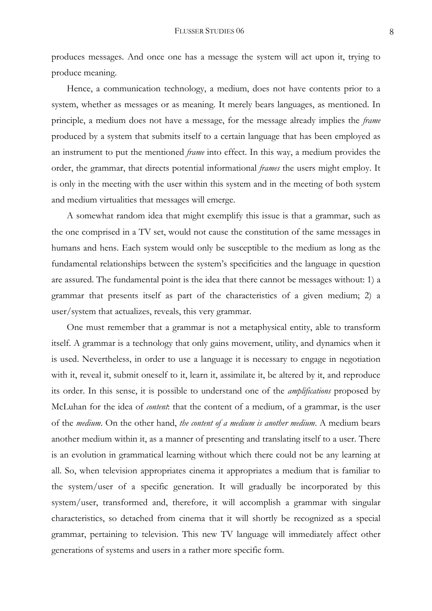produces messages. And once one has a message the system will act upon it, trying to produce meaning.

 Hence, a communication technology, a medium, does not have contents prior to a system, whether as messages or as meaning. It merely bears languages, as mentioned. In principle, a medium does not have a message, for the message already implies the *frame* produced by a system that submits itself to a certain language that has been employed as an instrument to put the mentioned *frame* into effect. In this way, a medium provides the order, the grammar, that directs potential informational *frames* the users might employ. It is only in the meeting with the user within this system and in the meeting of both system and medium virtualities that messages will emerge.

 A somewhat random idea that might exemplify this issue is that a grammar, such as the one comprised in a TV set, would not cause the constitution of the same messages in humans and hens. Each system would only be susceptible to the medium as long as the fundamental relationships between the system's specificities and the language in question are assured. The fundamental point is the idea that there cannot be messages without: 1) a grammar that presents itself as part of the characteristics of a given medium; 2) a user/system that actualizes, reveals, this very grammar.

 One must remember that a grammar is not a metaphysical entity, able to transform itself. A grammar is a technology that only gains movement, utility, and dynamics when it is used. Nevertheless, in order to use a language it is necessary to engage in negotiation with it, reveal it, submit oneself to it, learn it, assimilate it, be altered by it, and reproduce its order. In this sense, it is possible to understand one of the *amplifications* proposed by McLuhan for the idea of *content*: that the content of a medium, of a grammar, is the user of the *medium*. On the other hand, *the content of a medium is another medium*. A medium bears another medium within it, as a manner of presenting and translating itself to a user. There is an evolution in grammatical learning without which there could not be any learning at all. So, when television appropriates cinema it appropriates a medium that is familiar to the system/user of a specific generation. It will gradually be incorporated by this system/user, transformed and, therefore, it will accomplish a grammar with singular characteristics, so detached from cinema that it will shortly be recognized as a special grammar, pertaining to television. This new TV language will immediately affect other generations of systems and users in a rather more specific form.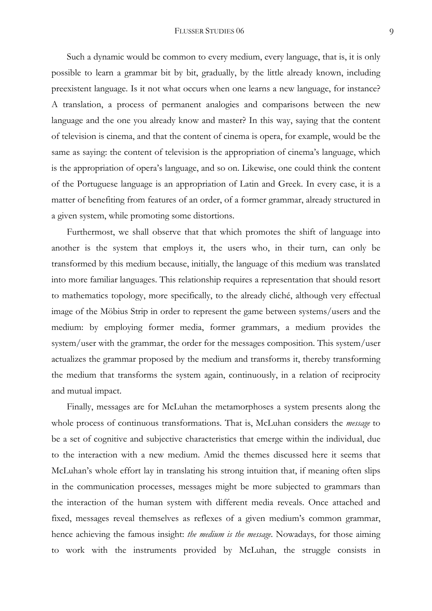Such a dynamic would be common to every medium, every language, that is, it is only possible to learn a grammar bit by bit, gradually, by the little already known, including preexistent language. Is it not what occurs when one learns a new language, for instance? A translation, a process of permanent analogies and comparisons between the new language and the one you already know and master? In this way, saying that the content of television is cinema, and that the content of cinema is opera, for example, would be the same as saying: the content of television is the appropriation of cinema's language, which is the appropriation of opera's language, and so on. Likewise, one could think the content of the Portuguese language is an appropriation of Latin and Greek. In every case, it is a matter of benefiting from features of an order, of a former grammar, already structured in a given system, while promoting some distortions.

 Furthermost, we shall observe that that which promotes the shift of language into another is the system that employs it, the users who, in their turn, can only be transformed by this medium because, initially, the language of this medium was translated into more familiar languages. This relationship requires a representation that should resort to mathematics topology, more specifically, to the already cliché, although very effectual image of the Möbius Strip in order to represent the game between systems/users and the medium: by employing former media, former grammars, a medium provides the system/user with the grammar, the order for the messages composition. This system/user actualizes the grammar proposed by the medium and transforms it, thereby transforming the medium that transforms the system again, continuously, in a relation of reciprocity and mutual impact.

 Finally, messages are for McLuhan the metamorphoses a system presents along the whole process of continuous transformations. That is, McLuhan considers the *message* to be a set of cognitive and subjective characteristics that emerge within the individual, due to the interaction with a new medium. Amid the themes discussed here it seems that McLuhan's whole effort lay in translating his strong intuition that, if meaning often slips in the communication processes, messages might be more subjected to grammars than the interaction of the human system with different media reveals. Once attached and fixed, messages reveal themselves as reflexes of a given medium's common grammar, hence achieving the famous insight: *the medium is the message*. Nowadays, for those aiming to work with the instruments provided by McLuhan, the struggle consists in